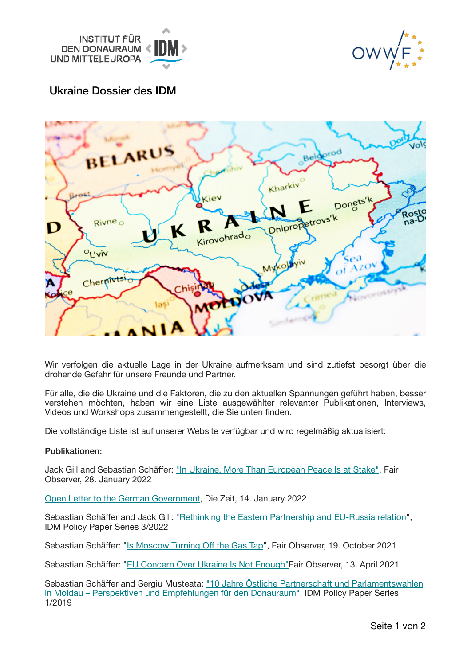



# Ukraine Dossier des IDM



Wir verfolgen die aktuelle Lage in der Ukraine aufmerksam und sind zutiefst besorgt über die drohende Gefahr für unsere Freunde und Partner.

Für alle, die die Ukraine und die Faktoren, die zu den aktuellen Spannungen geführt haben, besser verstehen möchten, haben wir eine Liste ausgewählter relevanter Publikationen, Interviews, Videos und Workshops zusammengestellt, die Sie unten finden.

Die vollständige Liste ist auf unserer Website verfügbar und wird regelmäßig aktualisiert:

### Publikationen:

Jack Gill and Sebastian Schäffer: ["In Ukraine, More](https://idm.us10.list-manage.com/track/click?u=20c5d630510755a457b04c4cb&id=e45dc9942b&e=eb34914d56) [Than European Peace Is](https://idm.us10.list-manage.com/track/click?u=20c5d630510755a457b04c4cb&id=f85f8f74ec&e=eb34914d56) [at Stake"](https://idm.us10.list-manage.com/track/click?u=20c5d630510755a457b04c4cb&id=f1849bdd20&e=eb34914d56), Fair Observer, 28. January 2022

[Open Letter to the German Government,](https://idm.us10.list-manage.com/track/click?u=20c5d630510755a457b04c4cb&id=f0738f29b3&e=eb34914d56) Die Zeit, 14. January 2022

Sebastian Schäffer and Jack Gill: ["Rethinking the Eastern Partnership and EU-Russia relation"](https://idm.us10.list-manage.com/track/click?u=20c5d630510755a457b04c4cb&id=11781f9746&e=eb34914d56), IDM Policy Paper Series 3/2022

Sebastian Schäffer: ["Is Moscow Turning O](https://idm.us10.list-manage.com/track/click?u=20c5d630510755a457b04c4cb&id=49558c396d&e=eb34914d56)ff th[e Gas Tap"](https://idm.us10.list-manage.com/track/click?u=20c5d630510755a457b04c4cb&id=23cb5e8f15&e=eb34914d56), Fair Observer, 19. October 2021

Sebastian Schäffer: ["EU](https://idm.us10.list-manage.com/track/click?u=20c5d630510755a457b04c4cb&id=434ad1e91f&e=eb34914d56) [Concern Over Ukraine Is Not Enough"](https://idm.us10.list-manage.com/track/click?u=20c5d630510755a457b04c4cb&id=f15a593c64&e=eb34914d56)Fair Observer, 13. April 2021

Sebastian Schäffer and Sergiu Musteata: ["](https://idm.us10.list-manage.com/track/click?u=20c5d630510755a457b04c4cb&id=7912803a33&e=eb34914d56)10 Jahre Östliche Partnerschaft und Parlamentswahlen [in Moldau](https://idm.us10.list-manage.com/track/click?u=20c5d630510755a457b04c4cb&id=4c250aee50&e=eb34914d56) [– Perspektiven und Empfehlungen für den Donauraum"](https://idm.us10.list-manage.com/track/click?u=20c5d630510755a457b04c4cb&id=76b51e585b&e=eb34914d56), IDM Policy Paper Series 1/2019